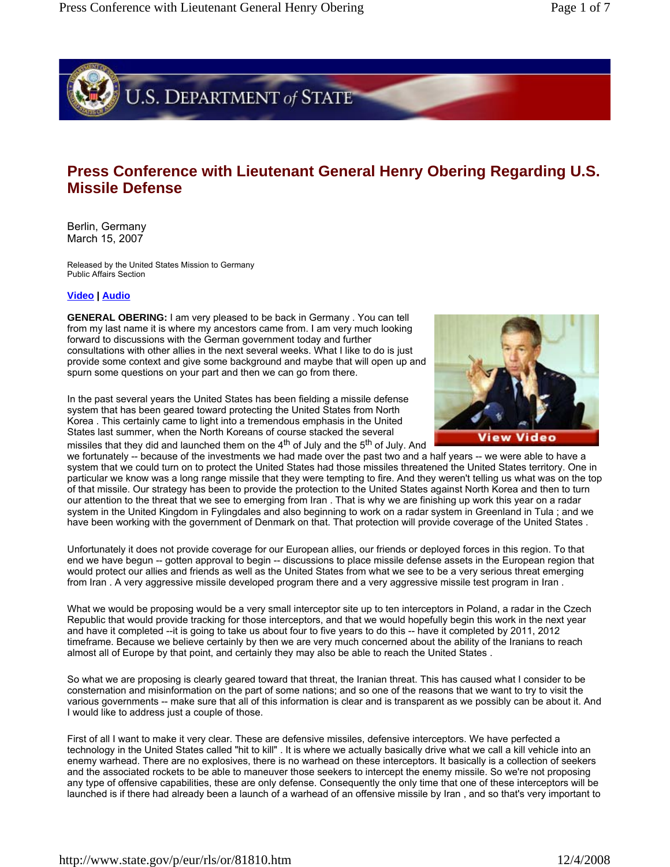

## **Press Conference with Lieutenant General Henry Obering Regarding U.S. Missile Defense**

Berlin, Germany March 15, 2007

Released by the United States Mission to Germany Public Affairs Section

## **Video | Audio**

**GENERAL OBERING:** I am very pleased to be back in Germany . You can tell from my last name it is where my ancestors came from. I am very much looking forward to discussions with the German government today and further consultations with other allies in the next several weeks. What I like to do is just provide some context and give some background and maybe that will open up and spurn some questions on your part and then we can go from there.

In the past several years the United States has been fielding a missile defense system that has been geared toward protecting the United States from North Korea . This certainly came to light into a tremendous emphasis in the United States last summer, when the North Koreans of course stacked the several missiles that they did and launched them on the  $4<sup>th</sup>$  of July and the  $5<sup>th</sup>$  of July. And



we fortunately -- because of the investments we had made over the past two and a half years -- we were able to have a system that we could turn on to protect the United States had those missiles threatened the United States territory. One in particular we know was a long range missile that they were tempting to fire. And they weren't telling us what was on the top of that missile. Our strategy has been to provide the protection to the United States against North Korea and then to turn our attention to the threat that we see to emerging from Iran . That is why we are finishing up work this year on a radar system in the United Kingdom in Fylingdales and also beginning to work on a radar system in Greenland in Tula ; and we have been working with the government of Denmark on that. That protection will provide coverage of the United States .

Unfortunately it does not provide coverage for our European allies, our friends or deployed forces in this region. To that end we have begun -- gotten approval to begin -- discussions to place missile defense assets in the European region that would protect our allies and friends as well as the United States from what we see to be a very serious threat emerging from Iran . A very aggressive missile developed program there and a very aggressive missile test program in Iran .

What we would be proposing would be a very small interceptor site up to ten interceptors in Poland, a radar in the Czech Republic that would provide tracking for those interceptors, and that we would hopefully begin this work in the next year and have it completed --it is going to take us about four to five years to do this -- have it completed by 2011, 2012 timeframe. Because we believe certainly by then we are very much concerned about the ability of the Iranians to reach almost all of Europe by that point, and certainly they may also be able to reach the United States .

So what we are proposing is clearly geared toward that threat, the Iranian threat. This has caused what I consider to be consternation and misinformation on the part of some nations; and so one of the reasons that we want to try to visit the various governments -- make sure that all of this information is clear and is transparent as we possibly can be about it. And I would like to address just a couple of those.

First of all I want to make it very clear. These are defensive missiles, defensive interceptors. We have perfected a technology in the United States called "hit to kill" . It is where we actually basically drive what we call a kill vehicle into an enemy warhead. There are no explosives, there is no warhead on these interceptors. It basically is a collection of seekers and the associated rockets to be able to maneuver those seekers to intercept the enemy missile. So we're not proposing any type of offensive capabilities, these are only defense. Consequently the only time that one of these interceptors will be launched is if there had already been a launch of a warhead of an offensive missile by Iran , and so that's very important to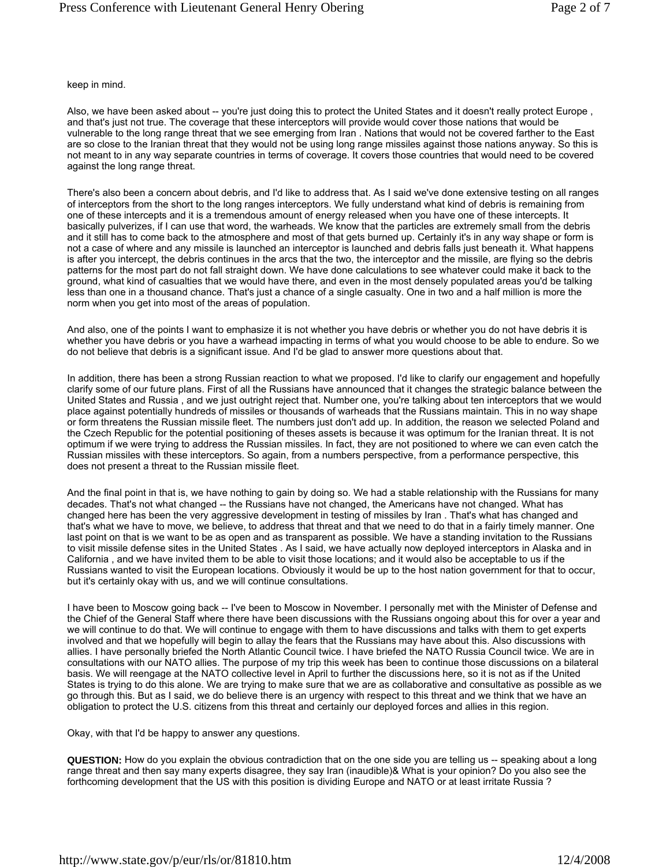keep in mind.

Also, we have been asked about -- you're just doing this to protect the United States and it doesn't really protect Europe, and that's just not true. The coverage that these interceptors will provide would cover those nations that would be vulnerable to the long range threat that we see emerging from Iran . Nations that would not be covered farther to the East are so close to the Iranian threat that they would not be using long range missiles against those nations anyway. So this is not meant to in any way separate countries in terms of coverage. It covers those countries that would need to be covered against the long range threat.

There's also been a concern about debris, and I'd like to address that. As I said we've done extensive testing on all ranges of interceptors from the short to the long ranges interceptors. We fully understand what kind of debris is remaining from one of these intercepts and it is a tremendous amount of energy released when you have one of these intercepts. It basically pulverizes, if I can use that word, the warheads. We know that the particles are extremely small from the debris and it still has to come back to the atmosphere and most of that gets burned up. Certainly it's in any way shape or form is not a case of where and any missile is launched an interceptor is launched and debris falls just beneath it. What happens is after you intercept, the debris continues in the arcs that the two, the interceptor and the missile, are flying so the debris patterns for the most part do not fall straight down. We have done calculations to see whatever could make it back to the ground, what kind of casualties that we would have there, and even in the most densely populated areas you'd be talking less than one in a thousand chance. That's just a chance of a single casualty. One in two and a half million is more the norm when you get into most of the areas of population.

And also, one of the points I want to emphasize it is not whether you have debris or whether you do not have debris it is whether you have debris or you have a warhead impacting in terms of what you would choose to be able to endure. So we do not believe that debris is a significant issue. And I'd be glad to answer more questions about that.

In addition, there has been a strong Russian reaction to what we proposed. I'd like to clarify our engagement and hopefully clarify some of our future plans. First of all the Russians have announced that it changes the strategic balance between the United States and Russia , and we just outright reject that. Number one, you're talking about ten interceptors that we would place against potentially hundreds of missiles or thousands of warheads that the Russians maintain. This in no way shape or form threatens the Russian missile fleet. The numbers just don't add up. In addition, the reason we selected Poland and the Czech Republic for the potential positioning of theses assets is because it was optimum for the Iranian threat. It is not optimum if we were trying to address the Russian missiles. In fact, they are not positioned to where we can even catch the Russian missiles with these interceptors. So again, from a numbers perspective, from a performance perspective, this does not present a threat to the Russian missile fleet.

And the final point in that is, we have nothing to gain by doing so. We had a stable relationship with the Russians for many decades. That's not what changed -- the Russians have not changed, the Americans have not changed. What has changed here has been the very aggressive development in testing of missiles by Iran . That's what has changed and that's what we have to move, we believe, to address that threat and that we need to do that in a fairly timely manner. One last point on that is we want to be as open and as transparent as possible. We have a standing invitation to the Russians to visit missile defense sites in the United States . As I said, we have actually now deployed interceptors in Alaska and in California , and we have invited them to be able to visit those locations; and it would also be acceptable to us if the Russians wanted to visit the European locations. Obviously it would be up to the host nation government for that to occur, but it's certainly okay with us, and we will continue consultations.

I have been to Moscow going back -- I've been to Moscow in November. I personally met with the Minister of Defense and the Chief of the General Staff where there have been discussions with the Russians ongoing about this for over a year and we will continue to do that. We will continue to engage with them to have discussions and talks with them to get experts involved and that we hopefully will begin to allay the fears that the Russians may have about this. Also discussions with allies. I have personally briefed the North Atlantic Council twice. I have briefed the NATO Russia Council twice. We are in consultations with our NATO allies. The purpose of my trip this week has been to continue those discussions on a bilateral basis. We will reengage at the NATO collective level in April to further the discussions here, so it is not as if the United States is trying to do this alone. We are trying to make sure that we are as collaborative and consultative as possible as we go through this. But as I said, we do believe there is an urgency with respect to this threat and we think that we have an obligation to protect the U.S. citizens from this threat and certainly our deployed forces and allies in this region.

Okay, with that I'd be happy to answer any questions.

**QUESTION:** How do you explain the obvious contradiction that on the one side you are telling us -- speaking about a long range threat and then say many experts disagree, they say Iran (inaudible)& What is your opinion? Do you also see the forthcoming development that the US with this position is dividing Europe and NATO or at least irritate Russia ?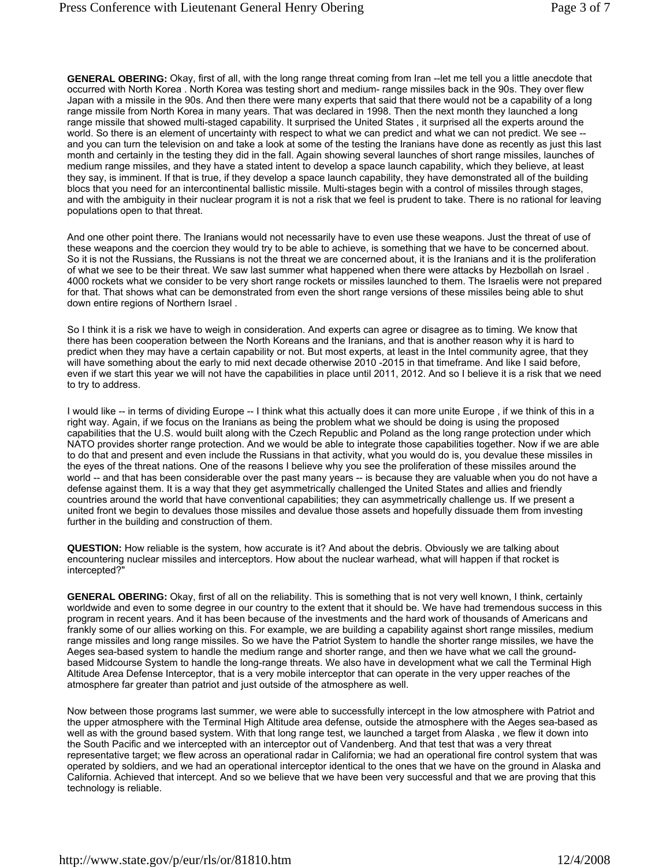**GENERAL OBERING:** Okay, first of all, with the long range threat coming from Iran --let me tell you a little anecdote that occurred with North Korea . North Korea was testing short and medium- range missiles back in the 90s. They over flew Japan with a missile in the 90s. And then there were many experts that said that there would not be a capability of a long range missile from North Korea in many years. That was declared in 1998. Then the next month they launched a long range missile that showed multi-staged capability. It surprised the United States , it surprised all the experts around the world. So there is an element of uncertainty with respect to what we can predict and what we can not predict. We see -and you can turn the television on and take a look at some of the testing the Iranians have done as recently as just this last month and certainly in the testing they did in the fall. Again showing several launches of short range missiles, launches of medium range missiles, and they have a stated intent to develop a space launch capability, which they believe, at least they say, is imminent. If that is true, if they develop a space launch capability, they have demonstrated all of the building blocs that you need for an intercontinental ballistic missile. Multi-stages begin with a control of missiles through stages, and with the ambiguity in their nuclear program it is not a risk that we feel is prudent to take. There is no rational for leaving populations open to that threat.

And one other point there. The Iranians would not necessarily have to even use these weapons. Just the threat of use of these weapons and the coercion they would try to be able to achieve, is something that we have to be concerned about. So it is not the Russians, the Russians is not the threat we are concerned about, it is the Iranians and it is the proliferation of what we see to be their threat. We saw last summer what happened when there were attacks by Hezbollah on Israel . 4000 rockets what we consider to be very short range rockets or missiles launched to them. The Israelis were not prepared for that. That shows what can be demonstrated from even the short range versions of these missiles being able to shut down entire regions of Northern Israel .

So I think it is a risk we have to weigh in consideration. And experts can agree or disagree as to timing. We know that there has been cooperation between the North Koreans and the Iranians, and that is another reason why it is hard to predict when they may have a certain capability or not. But most experts, at least in the Intel community agree, that they will have something about the early to mid next decade otherwise 2010 -2015 in that timeframe. And like I said before, even if we start this year we will not have the capabilities in place until 2011, 2012. And so I believe it is a risk that we need to try to address.

I would like -- in terms of dividing Europe -- I think what this actually does it can more unite Europe , if we think of this in a right way. Again, if we focus on the Iranians as being the problem what we should be doing is using the proposed capabilities that the U.S. would built along with the Czech Republic and Poland as the long range protection under which NATO provides shorter range protection. And we would be able to integrate those capabilities together. Now if we are able to do that and present and even include the Russians in that activity, what you would do is, you devalue these missiles in the eyes of the threat nations. One of the reasons I believe why you see the proliferation of these missiles around the world -- and that has been considerable over the past many years -- is because they are valuable when you do not have a defense against them. It is a way that they get asymmetrically challenged the United States and allies and friendly countries around the world that have conventional capabilities; they can asymmetrically challenge us. If we present a united front we begin to devalues those missiles and devalue those assets and hopefully dissuade them from investing further in the building and construction of them.

**QUESTION:** How reliable is the system, how accurate is it? And about the debris. Obviously we are talking about encountering nuclear missiles and interceptors. How about the nuclear warhead, what will happen if that rocket is intercepted?"

**GENERAL OBERING:** Okay, first of all on the reliability. This is something that is not very well known, I think, certainly worldwide and even to some degree in our country to the extent that it should be. We have had tremendous success in this program in recent years. And it has been because of the investments and the hard work of thousands of Americans and frankly some of our allies working on this. For example, we are building a capability against short range missiles, medium range missiles and long range missiles. So we have the Patriot System to handle the shorter range missiles, we have the Aeges sea-based system to handle the medium range and shorter range, and then we have what we call the groundbased Midcourse System to handle the long-range threats. We also have in development what we call the Terminal High Altitude Area Defense Interceptor, that is a very mobile interceptor that can operate in the very upper reaches of the atmosphere far greater than patriot and just outside of the atmosphere as well.

Now between those programs last summer, we were able to successfully intercept in the low atmosphere with Patriot and the upper atmosphere with the Terminal High Altitude area defense, outside the atmosphere with the Aeges sea-based as well as with the ground based system. With that long range test, we launched a target from Alaska , we flew it down into the South Pacific and we intercepted with an interceptor out of Vandenberg. And that test that was a very threat representative target; we flew across an operational radar in California; we had an operational fire control system that was operated by soldiers, and we had an operational interceptor identical to the ones that we have on the ground in Alaska and California. Achieved that intercept. And so we believe that we have been very successful and that we are proving that this technology is reliable.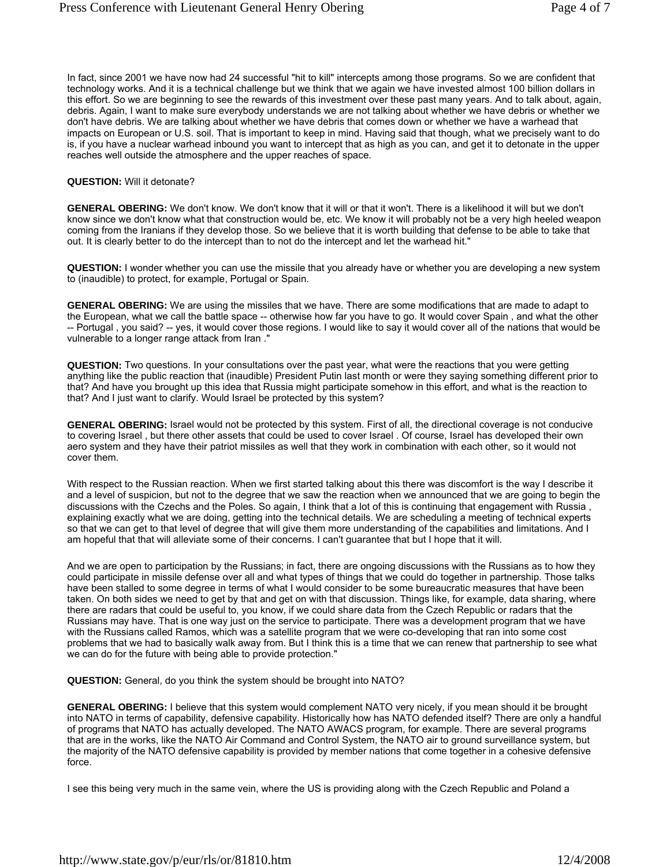In fact, since 2001 we have now had 24 successful "hit to kill" intercepts among those programs. So we are confident that technology works. And it is a technical challenge but we think that we again we have invested almost 100 billion dollars in this effort. So we are beginning to see the rewards of this investment over these past many years. And to talk about, again, debris. Again, I want to make sure everybody understands we are not talking about whether we have debris or whether we don't have debris. We are talking about whether we have debris that comes down or whether we have a warhead that impacts on European or U.S. soil. That is important to keep in mind. Having said that though, what we precisely want to do is, if you have a nuclear warhead inbound you want to intercept that as high as you can, and get it to detonate in the upper reaches well outside the atmosphere and the upper reaches of space.

## **QUESTION:** Will it detonate?

**GENERAL OBERING:** We don't know. We don't know that it will or that it won't. There is a likelihood it will but we don't know since we don't know what that construction would be, etc. We know it will probably not be a very high heeled weapon coming from the Iranians if they develop those. So we believe that it is worth building that defense to be able to take that out. It is clearly better to do the intercept than to not do the intercept and let the warhead hit."

**QUESTION:** I wonder whether you can use the missile that you already have or whether you are developing a new system to (inaudible) to protect, for example, Portugal or Spain.

**GENERAL OBERING:** We are using the missiles that we have. There are some modifications that are made to adapt to the European, what we call the battle space -- otherwise how far you have to go. It would cover Spain , and what the other -- Portugal , you said? -- yes, it would cover those regions. I would like to say it would cover all of the nations that would be vulnerable to a longer range attack from Iran ."

**QUESTION:** Two questions. In your consultations over the past year, what were the reactions that you were getting anything like the public reaction that (inaudible) President Putin last month or were they saying something different prior to that? And have you brought up this idea that Russia might participate somehow in this effort, and what is the reaction to that? And I just want to clarify. Would Israel be protected by this system?

**GENERAL OBERING:** Israel would not be protected by this system. First of all, the directional coverage is not conducive to covering Israel , but there other assets that could be used to cover Israel . Of course, Israel has developed their own aero system and they have their patriot missiles as well that they work in combination with each other, so it would not cover them.

With respect to the Russian reaction. When we first started talking about this there was discomfort is the way I describe it and a level of suspicion, but not to the degree that we saw the reaction when we announced that we are going to begin the discussions with the Czechs and the Poles. So again, I think that a lot of this is continuing that engagement with Russia , explaining exactly what we are doing, getting into the technical details. We are scheduling a meeting of technical experts so that we can get to that level of degree that will give them more understanding of the capabilities and limitations. And I am hopeful that that will alleviate some of their concerns. I can't guarantee that but I hope that it will.

And we are open to participation by the Russians; in fact, there are ongoing discussions with the Russians as to how they could participate in missile defense over all and what types of things that we could do together in partnership. Those talks have been stalled to some degree in terms of what I would consider to be some bureaucratic measures that have been taken. On both sides we need to get by that and get on with that discussion. Things like, for example, data sharing, where there are radars that could be useful to, you know, if we could share data from the Czech Republic or radars that the Russians may have. That is one way just on the service to participate. There was a development program that we have with the Russians called Ramos, which was a satellite program that we were co-developing that ran into some cost problems that we had to basically walk away from. But I think this is a time that we can renew that partnership to see what we can do for the future with being able to provide protection."

**QUESTION:** General, do you think the system should be brought into NATO?

**GENERAL OBERING:** I believe that this system would complement NATO very nicely, if you mean should it be brought into NATO in terms of capability, defensive capability. Historically how has NATO defended itself? There are only a handful of programs that NATO has actually developed. The NATO AWACS program, for example. There are several programs that are in the works, like the NATO Air Command and Control System, the NATO air to ground surveillance system, but the majority of the NATO defensive capability is provided by member nations that come together in a cohesive defensive force.

I see this being very much in the same vein, where the US is providing along with the Czech Republic and Poland a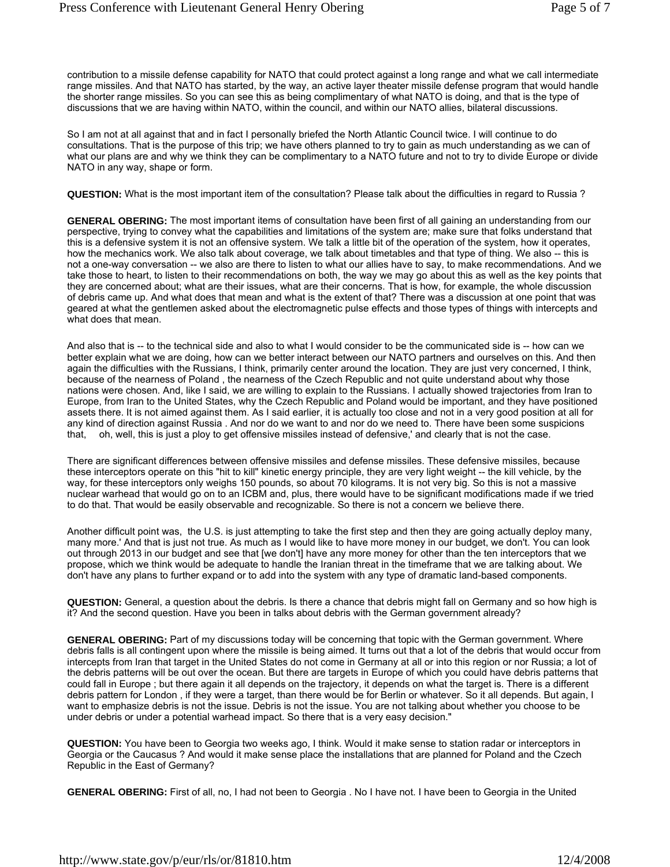contribution to a missile defense capability for NATO that could protect against a long range and what we call intermediate range missiles. And that NATO has started, by the way, an active layer theater missile defense program that would handle the shorter range missiles. So you can see this as being complimentary of what NATO is doing, and that is the type of discussions that we are having within NATO, within the council, and within our NATO allies, bilateral discussions.

So I am not at all against that and in fact I personally briefed the North Atlantic Council twice. I will continue to do consultations. That is the purpose of this trip; we have others planned to try to gain as much understanding as we can of what our plans are and why we think they can be complimentary to a NATO future and not to try to divide Europe or divide NATO in any way, shape or form.

**QUESTION:** What is the most important item of the consultation? Please talk about the difficulties in regard to Russia ?

**GENERAL OBERING:** The most important items of consultation have been first of all gaining an understanding from our perspective, trying to convey what the capabilities and limitations of the system are; make sure that folks understand that this is a defensive system it is not an offensive system. We talk a little bit of the operation of the system, how it operates, how the mechanics work. We also talk about coverage, we talk about timetables and that type of thing. We also -- this is not a one-way conversation -- we also are there to listen to what our allies have to say, to make recommendations. And we take those to heart, to listen to their recommendations on both, the way we may go about this as well as the key points that they are concerned about; what are their issues, what are their concerns. That is how, for example, the whole discussion of debris came up. And what does that mean and what is the extent of that? There was a discussion at one point that was geared at what the gentlemen asked about the electromagnetic pulse effects and those types of things with intercepts and what does that mean.

And also that is -- to the technical side and also to what I would consider to be the communicated side is -- how can we better explain what we are doing, how can we better interact between our NATO partners and ourselves on this. And then again the difficulties with the Russians, I think, primarily center around the location. They are just very concerned, I think, because of the nearness of Poland , the nearness of the Czech Republic and not quite understand about why those nations were chosen. And, like I said, we are willing to explain to the Russians. I actually showed trajectories from Iran to Europe, from Iran to the United States, why the Czech Republic and Poland would be important, and they have positioned assets there. It is not aimed against them. As I said earlier, it is actually too close and not in a very good position at all for any kind of direction against Russia . And nor do we want to and nor do we need to. There have been some suspicions that, oh, well, this is just a ploy to get offensive missiles instead of defensive,' and clearly that is not the case.

There are significant differences between offensive missiles and defense missiles. These defensive missiles, because these interceptors operate on this "hit to kill" kinetic energy principle, they are very light weight -- the kill vehicle, by the way, for these interceptors only weighs 150 pounds, so about 70 kilograms. It is not very big. So this is not a massive nuclear warhead that would go on to an ICBM and, plus, there would have to be significant modifications made if we tried to do that. That would be easily observable and recognizable. So there is not a concern we believe there.

Another difficult point was, the U.S. is just attempting to take the first step and then they are going actually deploy many, many more.' And that is just not true. As much as I would like to have more money in our budget, we don't. You can look out through 2013 in our budget and see that [we don't] have any more money for other than the ten interceptors that we propose, which we think would be adequate to handle the Iranian threat in the timeframe that we are talking about. We don't have any plans to further expand or to add into the system with any type of dramatic land-based components.

**QUESTION:** General, a question about the debris. Is there a chance that debris might fall on Germany and so how high is it? And the second question. Have you been in talks about debris with the German government already?

**GENERAL OBERING:** Part of my discussions today will be concerning that topic with the German government. Where debris falls is all contingent upon where the missile is being aimed. It turns out that a lot of the debris that would occur from intercepts from Iran that target in the United States do not come in Germany at all or into this region or nor Russia; a lot of the debris patterns will be out over the ocean. But there are targets in Europe of which you could have debris patterns that could fall in Europe ; but there again it all depends on the trajectory, it depends on what the target is. There is a different debris pattern for London , if they were a target, than there would be for Berlin or whatever. So it all depends. But again, I want to emphasize debris is not the issue. Debris is not the issue. You are not talking about whether you choose to be under debris or under a potential warhead impact. So there that is a very easy decision."

**QUESTION:** You have been to Georgia two weeks ago, I think. Would it make sense to station radar or interceptors in Georgia or the Caucasus ? And would it make sense place the installations that are planned for Poland and the Czech Republic in the East of Germany?

**GENERAL OBERING:** First of all, no, I had not been to Georgia . No I have not. I have been to Georgia in the United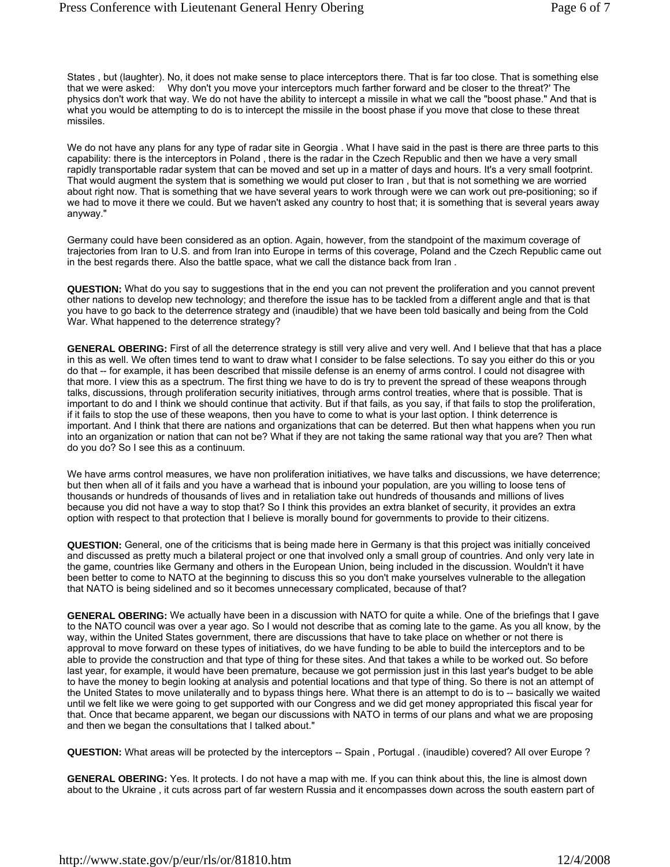States , but (laughter). No, it does not make sense to place interceptors there. That is far too close. That is something else that we were asked: Why don't you move your interceptors much farther forward and be closer to the threat?' The physics don't work that way. We do not have the ability to intercept a missile in what we call the "boost phase." And that is what you would be attempting to do is to intercept the missile in the boost phase if you move that close to these threat missiles.

We do not have any plans for any type of radar site in Georgia . What I have said in the past is there are three parts to this capability: there is the interceptors in Poland , there is the radar in the Czech Republic and then we have a very small rapidly transportable radar system that can be moved and set up in a matter of days and hours. It's a very small footprint. That would augment the system that is something we would put closer to Iran , but that is not something we are worried about right now. That is something that we have several years to work through were we can work out pre-positioning; so if we had to move it there we could. But we haven't asked any country to host that; it is something that is several years away anyway."

Germany could have been considered as an option. Again, however, from the standpoint of the maximum coverage of trajectories from Iran to U.S. and from Iran into Europe in terms of this coverage, Poland and the Czech Republic came out in the best regards there. Also the battle space, what we call the distance back from Iran .

**QUESTION:** What do you say to suggestions that in the end you can not prevent the proliferation and you cannot prevent other nations to develop new technology; and therefore the issue has to be tackled from a different angle and that is that you have to go back to the deterrence strategy and (inaudible) that we have been told basically and being from the Cold War. What happened to the deterrence strategy?

**GENERAL OBERING:** First of all the deterrence strategy is still very alive and very well. And I believe that that has a place in this as well. We often times tend to want to draw what I consider to be false selections. To say you either do this or you do that -- for example, it has been described that missile defense is an enemy of arms control. I could not disagree with that more. I view this as a spectrum. The first thing we have to do is try to prevent the spread of these weapons through talks, discussions, through proliferation security initiatives, through arms control treaties, where that is possible. That is important to do and I think we should continue that activity. But if that fails, as you say, if that fails to stop the proliferation, if it fails to stop the use of these weapons, then you have to come to what is your last option. I think deterrence is important. And I think that there are nations and organizations that can be deterred. But then what happens when you run into an organization or nation that can not be? What if they are not taking the same rational way that you are? Then what do you do? So I see this as a continuum.

We have arms control measures, we have non proliferation initiatives, we have talks and discussions, we have deterrence; but then when all of it fails and you have a warhead that is inbound your population, are you willing to loose tens of thousands or hundreds of thousands of lives and in retaliation take out hundreds of thousands and millions of lives because you did not have a way to stop that? So I think this provides an extra blanket of security, it provides an extra option with respect to that protection that I believe is morally bound for governments to provide to their citizens.

**QUESTION:** General, one of the criticisms that is being made here in Germany is that this project was initially conceived and discussed as pretty much a bilateral project or one that involved only a small group of countries. And only very late in the game, countries like Germany and others in the European Union, being included in the discussion. Wouldn't it have been better to come to NATO at the beginning to discuss this so you don't make yourselves vulnerable to the allegation that NATO is being sidelined and so it becomes unnecessary complicated, because of that?

**GENERAL OBERING:** We actually have been in a discussion with NATO for quite a while. One of the briefings that I gave to the NATO council was over a year ago. So I would not describe that as coming late to the game. As you all know, by the way, within the United States government, there are discussions that have to take place on whether or not there is approval to move forward on these types of initiatives, do we have funding to be able to build the interceptors and to be able to provide the construction and that type of thing for these sites. And that takes a while to be worked out. So before last year, for example, it would have been premature, because we got permission just in this last year's budget to be able to have the money to begin looking at analysis and potential locations and that type of thing. So there is not an attempt of the United States to move unilaterally and to bypass things here. What there is an attempt to do is to -- basically we waited until we felt like we were going to get supported with our Congress and we did get money appropriated this fiscal year for that. Once that became apparent, we began our discussions with NATO in terms of our plans and what we are proposing and then we began the consultations that I talked about."

**QUESTION:** What areas will be protected by the interceptors -- Spain , Portugal . (inaudible) covered? All over Europe ?

**GENERAL OBERING:** Yes. It protects. I do not have a map with me. If you can think about this, the line is almost down about to the Ukraine , it cuts across part of far western Russia and it encompasses down across the south eastern part of